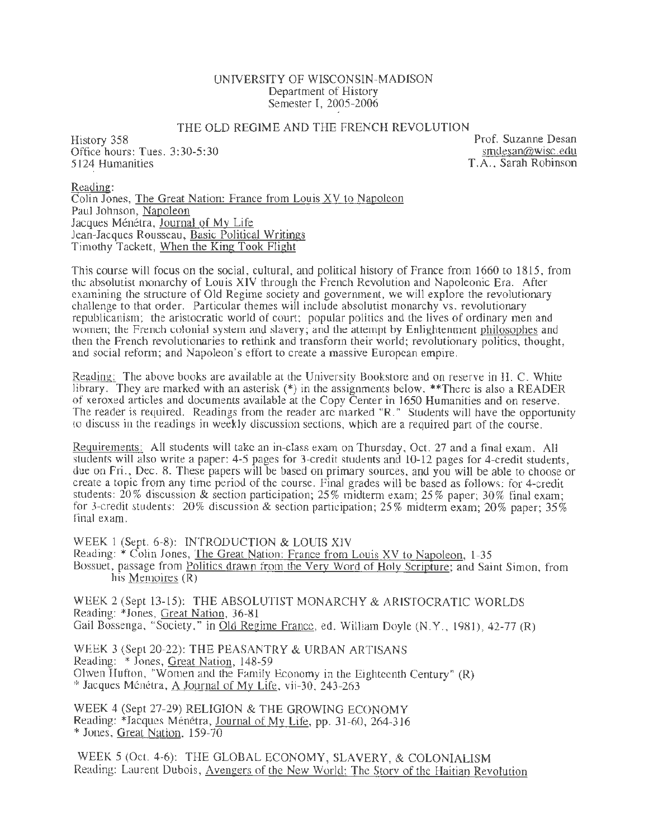#### UNIVERSITY OF WISCONSIN-MADISON Department of History Semester I, 2005-2006

#### THE OLD REGIME AND THE FRENCH REVOLUTION

History 358 Office hours: Tues. 3:30-5:30 5124 Humanities

Prof. Suzanne Desan smdesan@wisc. edu T.A., Sarah Robinson

Reading: Colin Jones, The Great Nation: France from Louis  $XY$  to Napoleon Paul Johnson, Napoleon Jacques Ménétra, Journal of My Life Jean-Jacques Rousseau, Basic Political Writings Timothy Tackett, When the King Took Flight

This course will focus on the social, cultural, and political history of France from 1660 to 1815, from the absolutist monarchy of Louis XIV through the French Revolution and Napoleonic Era. After examining the structure of Old Regime society and government, we will explore the revolutionary challenge to that order. Particular themes will include absolutist monarchy vs. revolutionary republicanism; the aristocratic world of court; popular politics and the lives of ordinary men and women; the French colonial system and slavery; and the attempt by Enlightenment philosophes and then the French revolutionaries to rethink and transform their world; revolutionary politics, thought, and social reform; and Napoleon's effort to create a massive European empire.

Reading: The above books are available at the University Bookstore and on reserve in H. C. White library. They are marked with an asterisk (\*) in the assignments below. \*\*There is also a READER of xeroxed articles and documents available at the Copy Center in 1650 Humanities and on reserve. The reader is required. Readings from the reader are marked "R." Students will have the opportunity to discuss in the readings in weekly discussion sections, which are a required part of the course.

Requirements: All students will take an in-class exam on Thursday, Oct. 27 and a final exam. All students will also write a paper: 4-5 pages for 3-credit students and 10-12 pages for 4-credit students, due on Fri., Dec. 8. These papers will be based on primary sources, and you will be able to choose or create a topic from any time period of the course. Final grades will be based as follows: for 4-credit students: 20% discussion & section participation; 25% midterm exam; 25% paper; 30% final exam; for 3-credit students:  $20\%$  discussion & section participation; 25% midterm exam; 20% paper; 35% final exam.

WEEK 1 (Sept. 6-8): INTRODUCTION & LOUIS XIV Reading: \* Colin Jones, The Great Nation: France from Louis XV to Napoleon, 1-35 Bossuet, passage from Politics drawn from the Very Word of Holy Scripture; and Saint Simon, from his Memoires (R)

WEEK 2 (Sept 13-15): THE ABSOLUTIST MONARCHY & ARISTOCRATIC WORLDS Reading: \*Jones, Great Nation, 36-81 Gail Bossenga, "Society," in Old Regime France, ed. William Doyle (N.Y. , 1981), 42-77 (R)

WEEK 3 (Sept 20-22): THE PEASANTRY & URBAN ARTISANS Reading: \* Jones, Great Nation, 148-59 Olwen Hutton, "Women and the Family Economy in the Eighteenth Century" (R) \* Jacques Ménétra,  $\overline{A}$  Journal of My Life, vii-30, 243-263

WEEK 4 (Sept 27-29) RELIGION & THE GROWING ECONOMY Reading: \*Jacques Ménétra, Journal of My Life, pp. 31-60, 264-316 \*Jones, Great Nation, 159-70

WEEK 5 (Oct. 4-6): THE GLOBAL ECONOMY, SLAVERY, & COLONIALISM Reading: Laurent Dubois, Avengers of the New World: The Story of the Haitian Revolution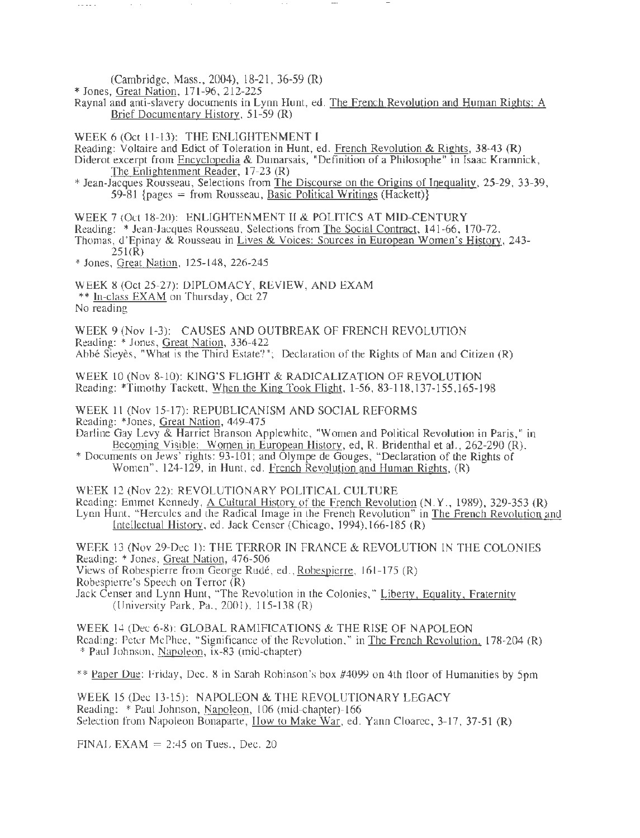(Cambridge, Mass., 2004), 18-21, 36-59 (R)

\* Jones, Great Nation, 171-96, 212-225

Raynal and anti-slavery documents in Lynn Hunt, ed. The French Revolution and Human Rights: A Brief Documentary History, 51-59 (R)

WEEK 6 (Oct 11-13): THE ENLIGHTENMENT I

Reading: Voltaire and Edict of Toleration in Hunt, ed. French Revolution & Rights, 38-43 (R)

Diderot excerpt from Encyclopedia & Dumarsais, "Definition of a Philosophe" in Isaac Kramnick, The Enlightenment Reader, 17-23 (R)

\*Jean-Jacques Rousseau, Selections from The Discourse on the Origins of Inequality, 25-29, 33-39,  $59-81$  {pages = from Rousseau, Basic Political Writings (Hackett)}

WEEK 7 (Oct 18-20): ENLIGHTENMENT II & POLITICS AT MID-CENTURY

Reading: \* Jean-Jacques Rousseau, Selections from The Social Contract, 141-66, 170-72.

- Thomas, d'Epinay & Rousseau in Lives & Voices: Sources in European Women's History, 243-  $251(R)$
- \*Jones, Great Nation, 125-148, 226-245

WEEK 8 (Oct 25-27): DIPLOMACY, REVIEW, AND EXAM \*\* In-class EXAM on Thursday, Oct 27 No reading

WEEK 9 (Nov 1-3): CAUSES AND OUTBREAK OF FRENCH REVOLUTION Reading: \* Jones, Great Nation, 336-422 Abbe Sieyes, "What is the Third Estate?"; Declaration of the Rights of Man and Citizen (R)

WEEK 10 (Nov 8-10): KING'S FLIGHT & RADICALIZATION OF REVOLUTION Reading: \*Timothy Tackett, When the King Took Flight, 1-56, 83-118,137-155,165-198

WEEK l1 (Nov 15-17): REPUBLICANISM AND SOCIAL REFORMS Reading: \*Jones, Great Nation, 449-475

Darline Gay Levy & Harriet Branson Applewhite, "Women and Political Revolution in Paris," in Becoming Visible: Women in European History, ed, R. Bridenthal et al., 262-290 (R).

\* Documents on Jews' rights: 93-101; and Olympe de Gouges, "Declaration of the Rights of Women", 124-129, in Hunt, ed. French Revolution and Human Rights, (R)

WEEK 12 (Nov 22): REVOLUTIONARY POLITICAL CULTURE Reading: Emmet Kennedy, A Cultural History of the French Revolution (N.Y., 1989), 329-353 (R) Lynn Hunt, "Hercules and the Radical Image in the French Revolution" in The French Revolution and Intellectual History, ed. Jack Censer (Chicago, 1994),166-185 (R)

WEEK 13 (Nov 29-Dec 1): THE TERROR IN FRANCE & REVOLUTION IN THE COLONIES Reading: \*Jones, Great Nation, 476-506'

Views of Robespierre from George Rudé, ed., Robespierre, 161-175 (R)

Robespierre's Speech on Terror (R)

Jack Censer and Lynn Hunt, "The Revolution in the Colonies," Liberty, Equality, Fraternity (University Park, Pa., 2001), 115-138 (R)

WEEK 14 (Dec 6-8): GLOBAL RAMIFICATIONS & THE RISE OF NAPOLEON Reading: Peter McPhee, "Significance of the Revolution," in The French Revolution. 178-204 (R) \* Paul Johnson, Napoleon, ix-83 (mid-chapter)

\*\* Paper Due: Friday, Dec. 8 in Sarah Robinson's box #4099 on 4th floor of Humanities by 5pm

WEEK 15 (Dec 13-15): NAPOLEON & THE REVOLUTIONARY LEGACY Reading: \*Paul Johnson, Napoleon, 106 (mid-chapter)-166 Selection from Napoleon Bonaparte, How to Make War, ed. Yann Cloarec, 3-17, 37-51 (R)

FINAL EXAM  $= 2:45$  on Tues., Dec. 20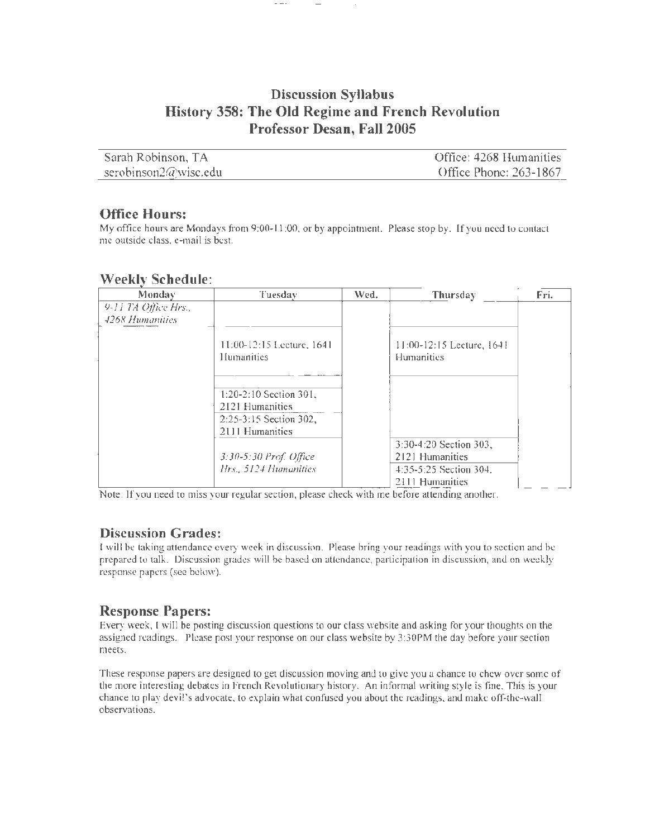# **Discussion Syllabus History 358: The Old Regime and French Revolution Professor Desan, Fall 2005**

| - Sarah Robinson, TA | Office: 4268 Humanities |
|----------------------|-------------------------|
| serobinson2@wisc.edu | Office Phone: 263-1867  |

## **Office Hours:**

My office hours are Mondays from 9:00-11:00, or by appointment. Please stop by. If you need to contact me outside class, e-mail is best.

## **Weekly Schedule:**

| Monday               | Tuesday                                                                                    | Wed. | Thursday                                                                               | Fri. |
|----------------------|--------------------------------------------------------------------------------------------|------|----------------------------------------------------------------------------------------|------|
| 9-11 TA Office Hrs., |                                                                                            |      |                                                                                        |      |
| 4268 Humanities      |                                                                                            |      |                                                                                        |      |
|                      | 11:00-12:15 Lecture, 1641<br>Humanities                                                    |      | $11:00-12:15$ Lecture, 1641<br>Humanities                                              |      |
|                      | $1:20-2:10$ Section 301,<br>2121 Humanities<br>$2:25-3:15$ Section 302,<br>2111 Humanities |      |                                                                                        |      |
|                      | 3:30-5:30 Prof. Office<br>Hrs., 5124 Humanities                                            |      | 3:30-4:20 Section 303,<br>2121 Humanities<br>4:35-5:25 Section 304.<br>2111 Humanities |      |

Note: If you need to miss your regular section, please check with me before attending another.

# **Discussion Grades:**

I will be taking attendance every week in discussion. Please bring your readings with you to section and be prepared to talk. Discussion grades will be based on attendance, participation in discussion, and on weekly response papers (see below).

# **Response Papers:**

Every week, I will be posting discussion questions to our class website and asking for your thoughts on the assigned readings. Please post your response on our class website by 3:30PM the day before your section meets.

These response papers are designed to get discussion moving and to give you a chance to chew over some of the more interesting debates in French Revolutionary history. An informal writing style is fine. This is your chance to play devil's advocate, to explain what confused you about the readings, and make off-the-wall observations.